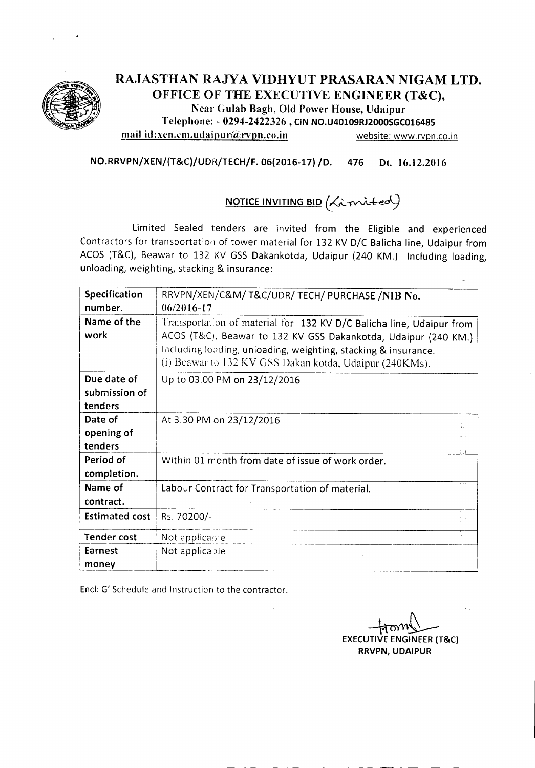

### RAJASTHAN RA.JYA VIDHYUT PRASARAN NIGAM LTD. OFFICE OF THE EXECUTIVE ENGINEER (T&C), Near Gulab Bagh, Old Power House, Udaipur Telephone: - 0294-2422326 , CINNO.U40109RJ2000SGC016485 mail id:xen.cm.udaipur@rvpn.co.in website: www.rvpn.co.in

NO.RRVPN/XEN/(T&C)/UDR/TECH/F. 06(2016-17) /D. 476 Dt. 16.12.2016

# NOTICE INVITING BID *(.,(;\_"f'",\A;+ed-)*

Limited Sealed tenders are invited from the Eligible and experienced Contractors for transportation of tower material for 132 KV D/C Balicha line, Udaipur from ACOS (T&C), Beawar to 132 KV GSS Dakankotda, Udaipur (240 KM.) Including loading, unloading, weighting, stacking & insurance:

| Specification         | RRVPN/XEN/C&M/ T&C/UDR/ TECH/ PURCHASE /NIB No.                      |  |  |  |  |  |
|-----------------------|----------------------------------------------------------------------|--|--|--|--|--|
| number.               | 06/2016-17                                                           |  |  |  |  |  |
| Name of the           | Transportation of material for 132 KV D/C Balicha line, Udaipur from |  |  |  |  |  |
| work                  | ACOS (T&C), Beawar to 132 KV GSS Dakankotda, Udaipur (240 KM.)       |  |  |  |  |  |
|                       | Including loading, unloading, weighting, stacking & insurance.       |  |  |  |  |  |
|                       | (i) Beawar to 132 KV GSS Dakan kotda, Udaipur (240KMs).              |  |  |  |  |  |
| Due date of           | Up to 03.00 PM on 23/12/2016                                         |  |  |  |  |  |
| submission of         |                                                                      |  |  |  |  |  |
| tenders               |                                                                      |  |  |  |  |  |
| Date of               | At 3.30 PM on 23/12/2016<br>Œ                                        |  |  |  |  |  |
| opening of            |                                                                      |  |  |  |  |  |
| tenders               |                                                                      |  |  |  |  |  |
| Period of             | Within 01 month from date of issue of work order.                    |  |  |  |  |  |
| completion.           |                                                                      |  |  |  |  |  |
| Name of               | Labour Contract for Transportation of material.                      |  |  |  |  |  |
| contract.             |                                                                      |  |  |  |  |  |
| <b>Estimated cost</b> | Rs. 70200/-                                                          |  |  |  |  |  |
| <b>Tender cost</b>    | Not applicable                                                       |  |  |  |  |  |
| Earnest               | Not applicable                                                       |  |  |  |  |  |
| money                 |                                                                      |  |  |  |  |  |

Encl: G' Schedule and Instruction to the contractor.

EXECUTIVE ENGINEER (T&C RRVPN, UDAIPUR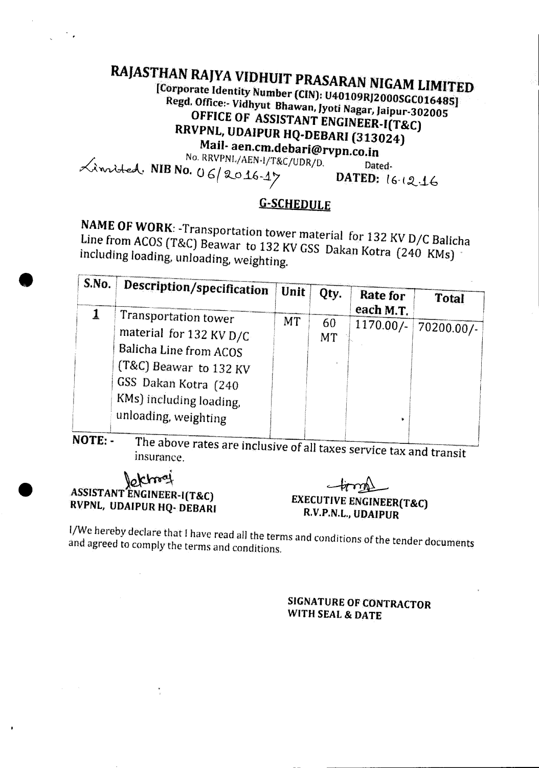### RAJASTHAN RAJYA VIDHUIT PRASARAN NIGAM LIMITED [Corporate Identity Number (CIN): U40109RJ2000SGC016485] Regd. Office:- Vidhyut Bhawan, Jyoti Nagar, Jaipur-302005 OFFICE OF ASSISTANT ENGINEER-I(T&C) RRVPNL, UDAIPUR HQ-DEBARI (313024) Mail-aen.cm.debari@rvpn.co.in No. RRVPNL/AEN-1/T&C/UDR/D. Limited. NIB No. 06/2016-17 Dated-DATED: 16.12.16

## **G-SCHEDULE**

NAME OF WORK: - Transportation tower material for 132 KV D/C Balicha Line from ACOS (T&C) Beawar to 132 KV GSS Dakan Kotra (240 KMs) including loading, unloading, weighting.

| S.No. | Description/specification                                                                                                                                                      | Unit <sup>1</sup> | Qty.            | Rate for<br>each M.T. | <b>Total</b> |
|-------|--------------------------------------------------------------------------------------------------------------------------------------------------------------------------------|-------------------|-----------------|-----------------------|--------------|
|       | Transportation tower<br>material for 132 KV D/C<br>Balicha Line from ACOS<br>(T&C) Beawar to 132 KV<br>GSS Dakan Kotra (240<br>KMs) including loading,<br>unloading, weighting | <b>MT</b>         | 60<br><b>MT</b> | $1170.00/-$           | $70200.00/-$ |
| NOTE: | The above rates and indicates                                                                                                                                                  |                   |                 |                       |              |

The above rates are inclusive of all taxes service tax and transit insurance.

### **Political** ASSISTANT ENGINEER-I(T&C) RVPNL, UDAIPUR HQ- DEBARI

**EXECUTIVE ENGINEER(T&C)** R.V.P.N.L., UDAIPUR

I/We hereby declare that I have read all the terms and conditions of the tender documents and agreed to comply the terms and conditions.

### **SIGNATURE OF CONTRACTOR** WITH SEAL & DATE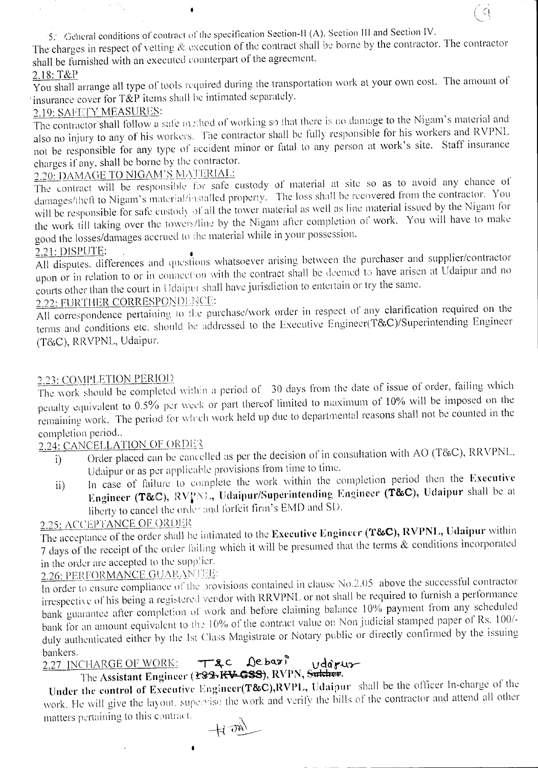5. General conditions of contract of the specification Section-II (A), Section III and Section IV.

 $\bullet$ 

The charges in respect of vetting & execution of the contract shall be borne by the contractor. The contractor shall be furnished with an executed counterpart of the agreement.

 $\cap$ 

## <u>2.18: T&I</u>

You shall arrange all type of tools required during the transportation work at your own cost. The amount of 'insurance cover for T&P items shall be intimated separately.

### 2.19: SAFETY MEASURES:

The contractor shall follow a safe method of working so that there is no damage to the Nigam's material and also no injury to any of his workers. The contractor shall be fully responsible for his workers and RVPNL not be responsible for any type of accident minor or fatal to any person at work's site. Staff insurance charges if any. shall be borne by the contractor.

2.20: DAMAGE TO NIGAM'S MATERIAL:

The contract will be responsible for safe custody of material at site so as to avoid any chance of damages/theft to Nigam's material/installed property. The loss shall be recovered from the contractor. You will be responsible for safe custody of all the tower material as well as line material issued by the Nigam for the work till taking over the towers/line by the Nigam after completion of work. You will have to make good the losses/damages accrued to the material while in your possession.

2.21: DISPUTE:  $\overrightarrow{ }$   $\overrightarrow{ }$   $\overrightarrow{ }$   $\overrightarrow{ }$   $\overrightarrow{ }$   $\overrightarrow{ }$  and supplier/contractors and supplier/contractors and supplier/contractors and supplier/contractors and supplier/contractors and supplier/contractors and supp upon or in relation to or in connection with the contract shall be deemed to have arisen at Udaipur and no courts other than the court in Udaipur shall have jurisdiction to entertain or try the same.

## **2.22: FURTHER CORRESPONDENCE:**

All correspondence pertaining to the purchase/work order in respect of any clarification required on the terms and conditions etc. should be addressed to the Executive Engineer(T&C)/Superintending Engineer (T&C), RRVPNL, Udaipur.

### 2.23: COMPLETION PERIOD

The work should be completed within a period of 30 days from the date of issue of order, failing which penalty equivalent to 0.5% per week or part thereof limited to maximum of 10% will be imposed on the remaining work. The period for which work held up due to departmental reasons shall not be counted in the completion period..

## 2.24: CANCELLATION OF ORDER

- i) Order placed can be cancelled as per the decision of in consultation with AO (T&C), RRVPNL, Udaipur or as per applicable provisions from time to time.
- ii) In case of failure to complete the work within the completion period then the Executive Engineer (T&C), RVPNL, Udaipur/Superintending Engineer (T&C), Udaipur shall be at liberty to cancel the order and forfeit firm's EMD and SD.

### **2.25: ACCEPTANCE OF ORDER**

The acceptance of the order shall be intimated to the Executive Engineer (T&C), RVPNL, Udaipur within 7 days of the receipt of the order failing which it will be presumed that the terms & conditions incorporated in the order are accepted to the supplier.

## 2.26: PERFORMANCE GUARANTEE:

In order to ensure compliance of the provisions contained in clause No.2.05 above the successful contractor irrespective of his being a registered vendor with RRVPNL or not shall be required to furnish a performance bank guarantee after completion of work and before claiming balance 10% payment from any scheduled bank for an amount equivalent to the 10% of the contract value on Non judicial stamped paper of Rs. 100/duly authenticated either by the 1st Class Magistrate or Notary public or directly confirmed by the issuing

### bankers.<br>2.27 INCHARGE OF WORK: bankers.<br>2.27 INCHARGE OF WORK: Tac Debari vdaruz

The Assistant Engineer (<del>£82) RV GSS)</del>, RVPN, <del>Sukhel</del>

Under the control of Executive Engineer(T&C), RVPL, Udaipur shall be the officer In-charge of the work. He will give the layout. supervise the work and verify the bills of the contractor and attend all other matters pertaining to this contract.

------------------------------------------ -------------------------

*-\-4 u~--*